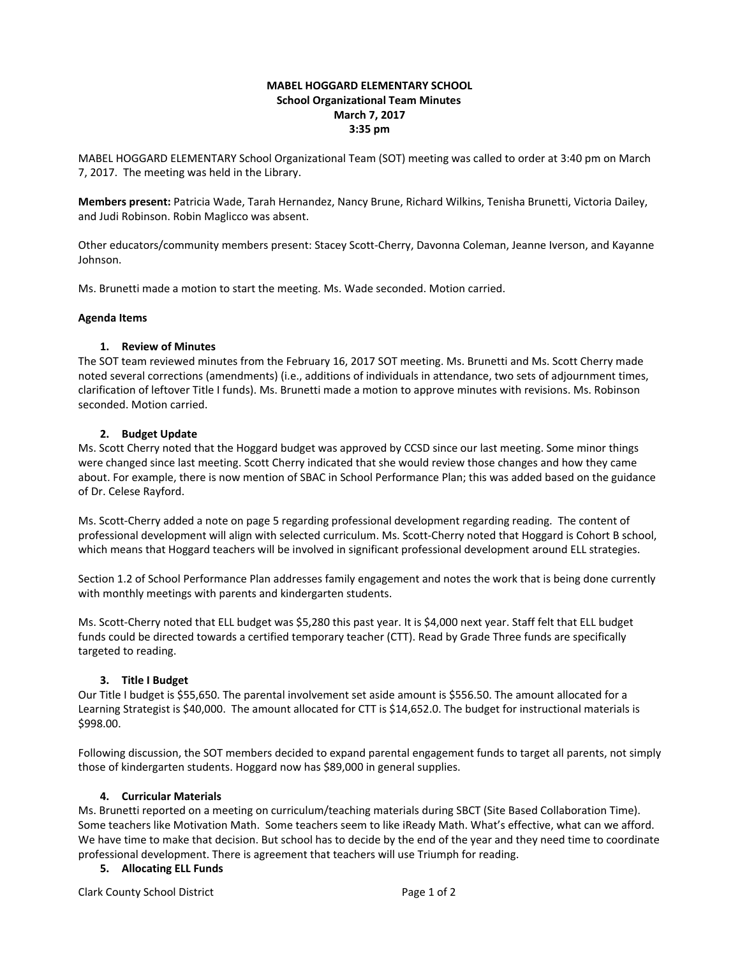### **MABEL HOGGARD ELEMENTARY SCHOOL School Organizational Team Minutes March 7, 2017 3:35 pm**

MABEL HOGGARD ELEMENTARY School Organizational Team (SOT) meeting was called to order at 3:40 pm on March 7, 2017. The meeting was held in the Library.

**Members present:** Patricia Wade, Tarah Hernandez, Nancy Brune, Richard Wilkins, Tenisha Brunetti, Victoria Dailey, and Judi Robinson. Robin Maglicco was absent.

Other educators/community members present: Stacey Scott-Cherry, Davonna Coleman, Jeanne Iverson, and Kayanne Johnson.

Ms. Brunetti made a motion to start the meeting. Ms. Wade seconded. Motion carried.

#### **Agenda Items**

### **1. Review of Minutes**

The SOT team reviewed minutes from the February 16, 2017 SOT meeting. Ms. Brunetti and Ms. Scott Cherry made noted several corrections (amendments) (i.e., additions of individuals in attendance, two sets of adjournment times, clarification of leftover Title I funds). Ms. Brunetti made a motion to approve minutes with revisions. Ms. Robinson seconded. Motion carried.

### **2. Budget Update**

Ms. Scott Cherry noted that the Hoggard budget was approved by CCSD since our last meeting. Some minor things were changed since last meeting. Scott Cherry indicated that she would review those changes and how they came about. For example, there is now mention of SBAC in School Performance Plan; this was added based on the guidance of Dr. Celese Rayford.

Ms. Scott-Cherry added a note on page 5 regarding professional development regarding reading. The content of professional development will align with selected curriculum. Ms. Scott-Cherry noted that Hoggard is Cohort B school, which means that Hoggard teachers will be involved in significant professional development around ELL strategies.

Section 1.2 of School Performance Plan addresses family engagement and notes the work that is being done currently with monthly meetings with parents and kindergarten students.

Ms. Scott-Cherry noted that ELL budget was \$5,280 this past year. It is \$4,000 next year. Staff felt that ELL budget funds could be directed towards a certified temporary teacher (CTT). Read by Grade Three funds are specifically targeted to reading.

# **3. Title I Budget**

Our Title I budget is \$55,650. The parental involvement set aside amount is \$556.50. The amount allocated for a Learning Strategist is \$40,000. The amount allocated for CTT is \$14,652.0. The budget for instructional materials is \$998.00.

Following discussion, the SOT members decided to expand parental engagement funds to target all parents, not simply those of kindergarten students. Hoggard now has \$89,000 in general supplies.

# **4. Curricular Materials**

Ms. Brunetti reported on a meeting on curriculum/teaching materials during SBCT (Site Based Collaboration Time). Some teachers like Motivation Math. Some teachers seem to like iReady Math. What's effective, what can we afford. We have time to make that decision. But school has to decide by the end of the year and they need time to coordinate professional development. There is agreement that teachers will use Triumph for reading.

# **5. Allocating ELL Funds**

Clark County School District **Page 1 of 2** and 2 and 2 and 2 and 2 and 2 and 2 and 2 and 2 and 2 and 2 and 2 and 2 and 2 and 2 and 2 and 2 and 2 and 2 and 2 and 2 and 2 and 2 and 2 and 2 and 2 and 2 and 2 and 2 and 2 and 2